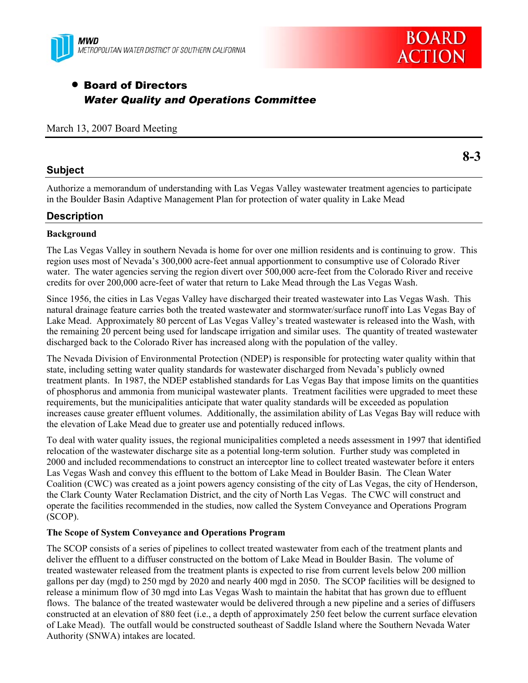



# • Board of Directors *Water Quality and Operations Committee*

#### March 13, 2007 Board Meeting

# **Subject**

Authorize a memorandum of understanding with Las Vegas Valley wastewater treatment agencies to participate in the Boulder Basin Adaptive Management Plan for protection of water quality in Lake Mead

# **Description**

### **Background**

The Las Vegas Valley in southern Nevada is home for over one million residents and is continuing to grow. This region uses most of Nevada's 300,000 acre-feet annual apportionment to consumptive use of Colorado River water. The water agencies serving the region divert over 500,000 acre-feet from the Colorado River and receive credits for over 200,000 acre-feet of water that return to Lake Mead through the Las Vegas Wash.

Since 1956, the cities in Las Vegas Valley have discharged their treated wastewater into Las Vegas Wash. This natural drainage feature carries both the treated wastewater and stormwater/surface runoff into Las Vegas Bay of Lake Mead. Approximately 80 percent of Las Vegas Valley's treated wastewater is released into the Wash, with the remaining 20 percent being used for landscape irrigation and similar uses. The quantity of treated wastewater discharged back to the Colorado River has increased along with the population of the valley.

The Nevada Division of Environmental Protection (NDEP) is responsible for protecting water quality within that state, including setting water quality standards for wastewater discharged from Nevada's publicly owned treatment plants. In 1987, the NDEP established standards for Las Vegas Bay that impose limits on the quantities of phosphorus and ammonia from municipal wastewater plants. Treatment facilities were upgraded to meet these requirements, but the municipalities anticipate that water quality standards will be exceeded as population increases cause greater effluent volumes. Additionally, the assimilation ability of Las Vegas Bay will reduce with the elevation of Lake Mead due to greater use and potentially reduced inflows.

To deal with water quality issues, the regional municipalities completed a needs assessment in 1997 that identified relocation of the wastewater discharge site as a potential long-term solution. Further study was completed in 2000 and included recommendations to construct an interceptor line to collect treated wastewater before it enters Las Vegas Wash and convey this effluent to the bottom of Lake Mead in Boulder Basin. The Clean Water Coalition (CWC) was created as a joint powers agency consisting of the city of Las Vegas, the city of Henderson, the Clark County Water Reclamation District, and the city of North Las Vegas. The CWC will construct and operate the facilities recommended in the studies, now called the System Conveyance and Operations Program (SCOP).

#### **The Scope of System Conveyance and Operations Program**

The SCOP consists of a series of pipelines to collect treated wastewater from each of the treatment plants and deliver the effluent to a diffuser constructed on the bottom of Lake Mead in Boulder Basin. The volume of treated wastewater released from the treatment plants is expected to rise from current levels below 200 million gallons per day (mgd) to 250 mgd by 2020 and nearly 400 mgd in 2050. The SCOP facilities will be designed to release a minimum flow of 30 mgd into Las Vegas Wash to maintain the habitat that has grown due to effluent flows. The balance of the treated wastewater would be delivered through a new pipeline and a series of diffusers constructed at an elevation of 880 feet (i.e., a depth of approximately 250 feet below the current surface elevation of Lake Mead). The outfall would be constructed southeast of Saddle Island where the Southern Nevada Water Authority (SNWA) intakes are located.

**8-3**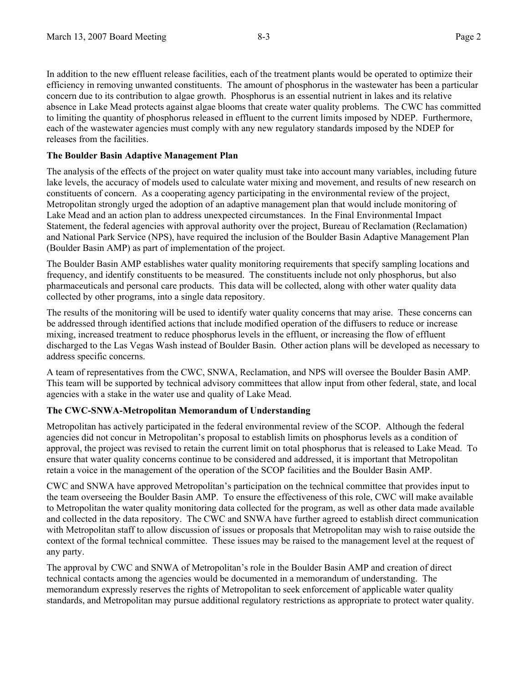In addition to the new effluent release facilities, each of the treatment plants would be operated to optimize their efficiency in removing unwanted constituents. The amount of phosphorus in the wastewater has been a particular concern due to its contribution to algae growth. Phosphorus is an essential nutrient in lakes and its relative absence in Lake Mead protects against algae blooms that create water quality problems. The CWC has committed to limiting the quantity of phosphorus released in effluent to the current limits imposed by NDEP. Furthermore, each of the wastewater agencies must comply with any new regulatory standards imposed by the NDEP for releases from the facilities.

#### **The Boulder Basin Adaptive Management Plan**

The analysis of the effects of the project on water quality must take into account many variables, including future lake levels, the accuracy of models used to calculate water mixing and movement, and results of new research on constituents of concern. As a cooperating agency participating in the environmental review of the project, Metropolitan strongly urged the adoption of an adaptive management plan that would include monitoring of Lake Mead and an action plan to address unexpected circumstances. In the Final Environmental Impact Statement, the federal agencies with approval authority over the project, Bureau of Reclamation (Reclamation) and National Park Service (NPS), have required the inclusion of the Boulder Basin Adaptive Management Plan (Boulder Basin AMP) as part of implementation of the project.

The Boulder Basin AMP establishes water quality monitoring requirements that specify sampling locations and frequency, and identify constituents to be measured. The constituents include not only phosphorus, but also pharmaceuticals and personal care products. This data will be collected, along with other water quality data collected by other programs, into a single data repository.

The results of the monitoring will be used to identify water quality concerns that may arise. These concerns can be addressed through identified actions that include modified operation of the diffusers to reduce or increase mixing, increased treatment to reduce phosphorus levels in the effluent, or increasing the flow of effluent discharged to the Las Vegas Wash instead of Boulder Basin. Other action plans will be developed as necessary to address specific concerns.

A team of representatives from the CWC, SNWA, Reclamation, and NPS will oversee the Boulder Basin AMP. This team will be supported by technical advisory committees that allow input from other federal, state, and local agencies with a stake in the water use and quality of Lake Mead.

# **The CWC-SNWA-Metropolitan Memorandum of Understanding**

Metropolitan has actively participated in the federal environmental review of the SCOP. Although the federal agencies did not concur in Metropolitan's proposal to establish limits on phosphorus levels as a condition of approval, the project was revised to retain the current limit on total phosphorus that is released to Lake Mead. To ensure that water quality concerns continue to be considered and addressed, it is important that Metropolitan retain a voice in the management of the operation of the SCOP facilities and the Boulder Basin AMP.

CWC and SNWA have approved Metropolitan's participation on the technical committee that provides input to the team overseeing the Boulder Basin AMP. To ensure the effectiveness of this role, CWC will make available to Metropolitan the water quality monitoring data collected for the program, as well as other data made available and collected in the data repository. The CWC and SNWA have further agreed to establish direct communication with Metropolitan staff to allow discussion of issues or proposals that Metropolitan may wish to raise outside the context of the formal technical committee. These issues may be raised to the management level at the request of any party.

The approval by CWC and SNWA of Metropolitan's role in the Boulder Basin AMP and creation of direct technical contacts among the agencies would be documented in a memorandum of understanding. The memorandum expressly reserves the rights of Metropolitan to seek enforcement of applicable water quality standards, and Metropolitan may pursue additional regulatory restrictions as appropriate to protect water quality.